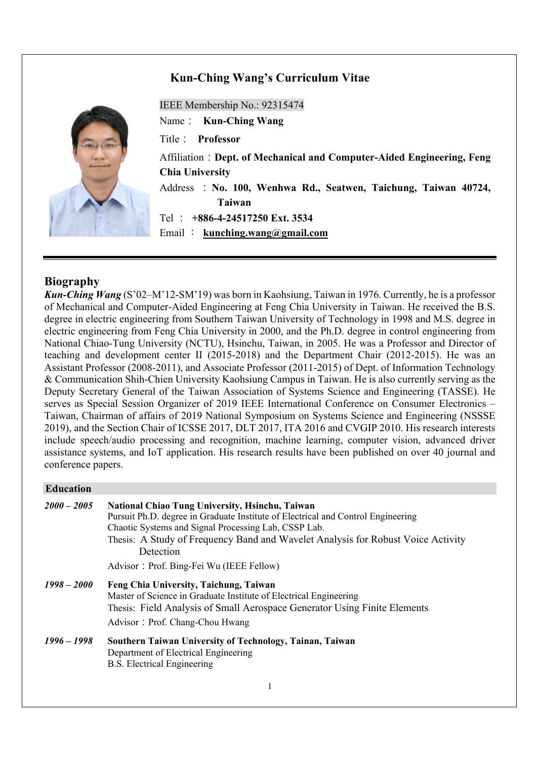# **Kun-Ching Wang's Curriculum Vitae**



IEEE Membership No.: 92315474

Name: **Kun-Ching Wang**

Title: **Professor**

Affiliation:**Dept. of Mechanical and Computer-Aided Engineering, Feng Chia University**

Address :**No. 100, Wenhwa Rd., Seatwen, Taichung, Taiwan 40724, Taiwan**

Tel : **+886-4-24517250 Ext. 3534**

Email : **kunching.wang@gmail.com**

## **Biography**

*Kun-Ching Wang* (S'02–M'12-SM'19) was born in Kaohsiung, Taiwan in 1976. Currently, he is a professor of Mechanical and Computer-Aided Engineering at Feng Chia University in Taiwan. He received the B.S. degree in electric engineering from Southern Taiwan University of Technology in 1998 and M.S. degree in electric engineering from Feng Chia University in 2000, and the Ph.D. degree in control engineering from National Chiao-Tung University (NCTU), Hsinchu, Taiwan, in 2005. He was a Professor and Director of teaching and development center II (2015-2018) and the Department Chair (2012-2015). He was an Assistant Professor (2008-2011), and Associate Professor (2011-2015) of Dept. of Information Technology & Communication Shih-Chien University Kaohsiung Campus in Taiwan. He is also currently serving as the Deputy Secretary General of the Taiwan Association of Systems Science and Engineering (TASSE). He serves as Special Session Organizer of 2019 IEEE International Conference on Consumer Electronics – Taiwan, Chairman of affairs of 2019 National Symposium on Systems Science and Engineering (NSSSE 2019), and the Section Chair of ICSSE 2017, DLT 2017, ITA 2016 and CVGIP 2010. His research interests include speech/audio processing and recognition, machine learning, computer vision, advanced driver assistance systems, and IoT application. His research results have been published on over 40 journal and conference papers.

## **Education**

| $2000 - 2005$ | <b>National Chiao Tung University, Hsinchu, Taiwan</b><br>Pursuit Ph.D. degree in Graduate Institute of Electrical and Control Engineering<br>Chaotic Systems and Signal Processing Lab, CSSP Lab.<br>Thesis: A Study of Frequency Band and Wavelet Analysis for Robust Voice Activity<br>Detection |
|---------------|-----------------------------------------------------------------------------------------------------------------------------------------------------------------------------------------------------------------------------------------------------------------------------------------------------|
|               | Advisor: Prof. Bing-Fei Wu (IEEE Fellow)                                                                                                                                                                                                                                                            |
| $1998 - 2000$ | Feng Chia University, Taichung, Taiwan<br>Master of Science in Graduate Institute of Electrical Engineering<br>Thesis: Field Analysis of Small Aerospace Generator Using Finite Elements<br>Advisor: Prof. Chang-Chou Hwang                                                                         |
| $1996 - 1998$ | Southern Taiwan University of Technology, Tainan, Taiwan<br>Department of Electrical Engineering<br><b>B.S. Electrical Engineering</b>                                                                                                                                                              |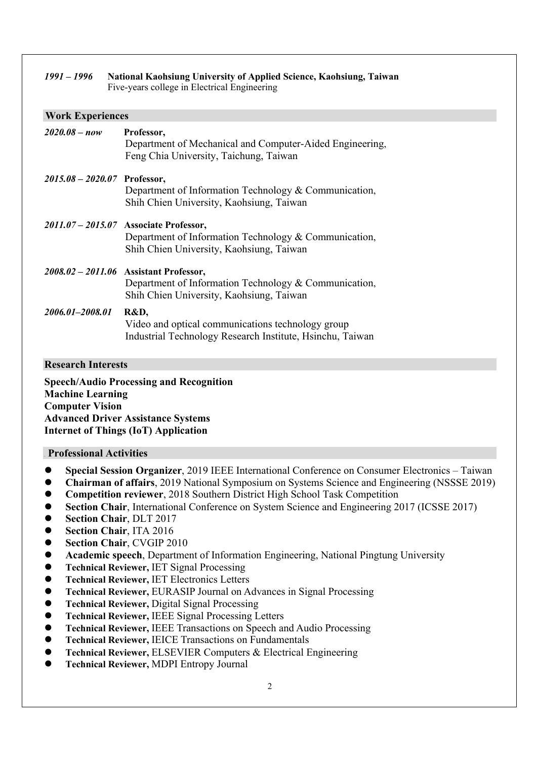|                                | 1991 - 1996 National Kaohsiung University of Applied Science, Kaohsiung, Taiwan<br>Five-years college in Electrical Engineering             |  |
|--------------------------------|---------------------------------------------------------------------------------------------------------------------------------------------|--|
| <b>Work Experiences</b>        |                                                                                                                                             |  |
| $2020.08 - now$                | Professor,<br>Department of Mechanical and Computer-Aided Engineering,<br>Feng Chia University, Taichung, Taiwan                            |  |
| $2015.08 - 2020.07$ Professor, | Department of Information Technology & Communication,<br>Shih Chien University, Kaohsiung, Taiwan                                           |  |
|                                | 2011.07 - 2015.07 Associate Professor,<br>Department of Information Technology & Communication,<br>Shih Chien University, Kaohsiung, Taiwan |  |
|                                | 2008.02 - 2011.06 Assistant Professor,<br>Department of Information Technology & Communication,<br>Shih Chien University, Kaohsiung, Taiwan |  |
| 2006.01-2008.01                | R&D,<br>Video and optical communications technology group<br>Industrial Technology Research Institute, Hsinchu, Taiwan                      |  |

#### **Research Interests**

**Speech/Audio Processing and Recognition Machine Learning Computer Vision Advanced Driver Assistance Systems Internet of Things (IoT) Application**

### 6B **Professional Activities**

- l **Special Session Organizer**, 2019 IEEE International Conference on Consumer Electronics Taiwan
- **Chairman of affairs**, 2019 National Symposium on Systems Science and Engineering (NSSSE 2019)
- l **Competition reviewer**, 2018 Southern District High School Task Competition
- **Section Chair**, International Conference on System Science and Engineering 2017 (ICSSE 2017)
- l **Section Chair**, DLT 2017
- **•** Section Chair, ITA 2016
- **•** Section Chair, CVGIP 2010
- **Academic speech**, Department of Information Engineering, National Pingtung University
- l **Technical Reviewer,** IET Signal Processing
- **Technical Reviewer, IET Electronics Letters**
- **Technical Reviewer, EURASIP Journal on Advances in Signal Processing**
- **Technical Reviewer, Digital Signal Processing**
- l **Technical Reviewer,** IEEE Signal Processing Letters
- l **Technical Reviewer,** IEEE Transactions on Speech and Audio Processing
- l **Technical Reviewer,** IEICE Transactions on Fundamentals
- l **Technical Reviewer,** ELSEVIER Computers & Electrical Engineering
- **Technical Reviewer, MDPI Entropy Journal**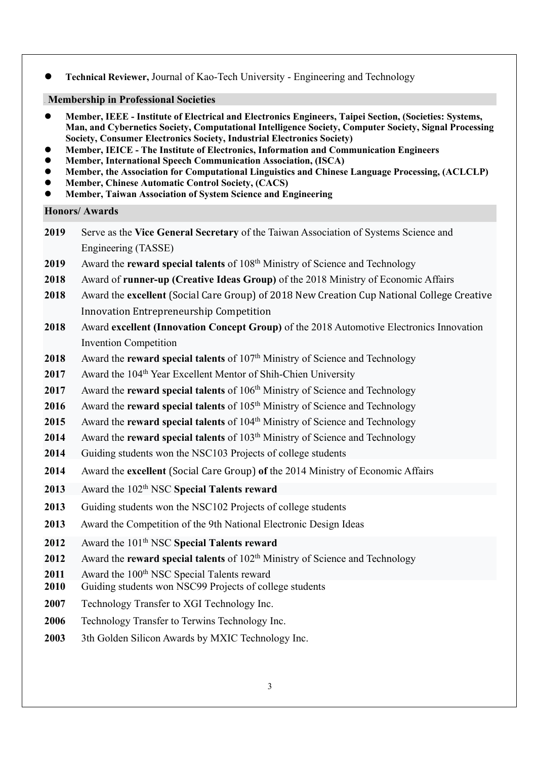l **Technical Reviewer,** Journal of Kao-Tech University - Engineering and Technology

# **Membership in Professional Societies**

- l **Member, IEEE - Institute of Electrical and Electronics Engineers, Taipei Section, (Societies: Systems, Man, and Cybernetics Society, Computational Intelligence Society, Computer Society, Signal Processing Society, Consumer Electronics Society, Industrial Electronics Society)**
- l **Member, IEICE - The Institute of Electronics, Information and Communication Engineers**
- l **Member, International Speech Communication Association, (ISCA)**
- l **Member, the Association for Computational Linguistics and Chinese Language Processing, (ACLCLP)**
- l **Member, Chinese Automatic Control Society, (CACS)**
- l **Member, Taiwan Association of System Science and Engineering**

# **Honors/ Awards**

- **2019** Serve as the **Vice General Secretary** of the Taiwan Association of Systems Science and Engineering (TASSE)
- **2019** Award the **reward special talents** of 108th Ministry of Science and Technology
- **2018** Award of **runner-up (Creative Ideas Group)** of the 2018 Ministry of Economic Affairs
- **2018** Award the **excellent** (Social Care Group) of 2018 New Creation Cup National College Creative Innovation Entrepreneurship Competition
- **2018** Award **excellent (Innovation Concept Group)** of the 2018 Automotive Electronics Innovation Invention Competition
- **2018** Award the **reward special talents** of 107<sup>th</sup> Ministry of Science and Technology
- **2017** Award the 104<sup>th</sup> Year Excellent Mentor of Shih-Chien University
- **2017** Award the **reward special talents** of 106<sup>th</sup> Ministry of Science and Technology
- **2016** Award the **reward special talents** of 105th Ministry of Science and Technology
- **2015** Award the **reward special talents** of 104th Ministry of Science and Technology
- **2014** Award the **reward special talents** of 103th Ministry of Science and Technology
- **2014** Guiding students won the NSC103 Projects of college students
- **2014** Award the **excellent** (Social Care Group) **of** the 2014 Ministry of Economic Affairs
- 2013 Award the 102<sup>th</sup> NSC **Special Talents reward**
- 2013 Guiding students won the NSC102 Projects of college students
- **2013** Award the Competition of the 9th National Electronic Design Ideas
- **2012** Award the 101th NSC **Special Talents reward**
- **2012** Award the **reward special talents** of 102<sup>th</sup> Ministry of Science and Technology
- 2011 Award the 100<sup>th</sup> NSC Special Talents reward
- **2010** Guiding students won NSC99 Projects of college students
- **2007** Technology Transfer to XGI Technology Inc.
- **2006** Technology Transfer to Terwins Technology Inc.
- **2003** 3th Golden Silicon Awards by MXIC Technology Inc.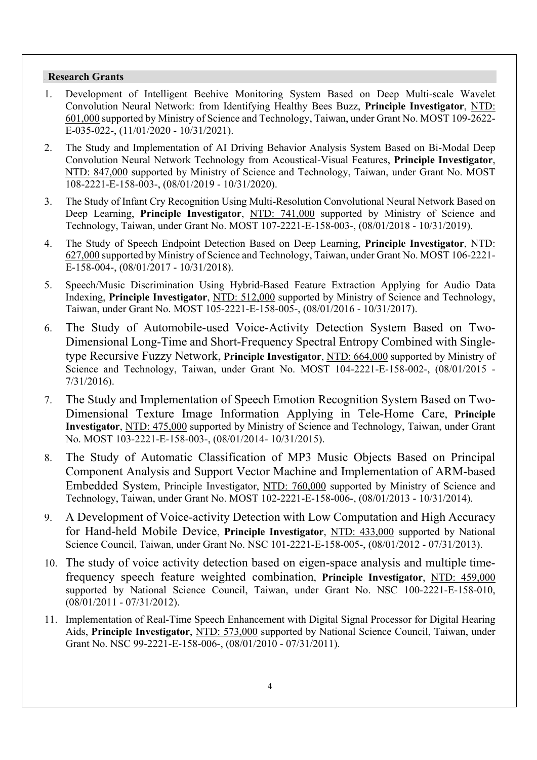### **Research Grants**

- 1. Development of Intelligent Beehive Monitoring System Based on Deep Multi-scale Wavelet Convolution Neural Network: from Identifying Healthy Bees Buzz, **Principle Investigator**, NTD: 601,000 supported by Ministry of Science and Technology, Taiwan, under Grant No. MOST 109-2622- E-035-022-, (11/01/2020 - 10/31/2021).
- 2. The Study and Implementation of AI Driving Behavior Analysis System Based on Bi-Modal Deep Convolution Neural Network Technology from Acoustical-Visual Features, **Principle Investigator**, NTD: 847,000 supported by Ministry of Science and Technology, Taiwan, under Grant No. MOST 108-2221-E-158-003-, (08/01/2019 - 10/31/2020).
- 3. The Study of Infant Cry Recognition Using Multi-Resolution Convolutional Neural Network Based on Deep Learning, **Principle Investigator**, NTD: 741,000 supported by Ministry of Science and Technology, Taiwan, under Grant No. MOST 107-2221-E-158-003-, (08/01/2018 - 10/31/2019).
- 4. The Study of Speech Endpoint Detection Based on Deep Learning, **Principle Investigator**, NTD: 627,000 supported by Ministry of Science and Technology, Taiwan, under Grant No. MOST 106-2221- E-158-004-, (08/01/2017 - 10/31/2018).
- 5. Speech/Music Discrimination Using Hybrid-Based Feature Extraction Applying for Audio Data Indexing, **Principle Investigator**, NTD: 512,000 supported by Ministry of Science and Technology, Taiwan, under Grant No. MOST 105-2221-E-158-005-, (08/01/2016 - 10/31/2017).
- 6. The Study of Automobile-used Voice-Activity Detection System Based on Two-Dimensional Long-Time and Short-Frequency Spectral Entropy Combined with Singletype Recursive Fuzzy Network, **Principle Investigator**, NTD: 664,000 supported by Ministry of Science and Technology, Taiwan, under Grant No. MOST 104-2221-E-158-002-, (08/01/2015 - 7/31/2016).
- 7. The Study and Implementation of Speech Emotion Recognition System Based on Two-Dimensional Texture Image Information Applying in Tele-Home Care, **Principle Investigator**, NTD: 475,000 supported by Ministry of Science and Technology, Taiwan, under Grant No. MOST 103-2221-E-158-003-, (08/01/2014- 10/31/2015).
- 8. The Study of Automatic Classification of MP3 Music Objects Based on Principal Component Analysis and Support Vector Machine and Implementation of ARM-based Embedded System, Principle Investigator, NTD: 760,000 supported by Ministry of Science and Technology, Taiwan, under Grant No. MOST 102-2221-E-158-006-, (08/01/2013 - 10/31/2014).
- 9. A Development of Voice-activity Detection with Low Computation and High Accuracy for Hand-held Mobile Device, **Principle Investigator**, NTD: 433,000 supported by National Science Council, Taiwan, under Grant No. NSC 101-2221-E-158-005-, (08/01/2012 - 07/31/2013).
- 10. The study of voice activity detection based on eigen-space analysis and multiple timefrequency speech feature weighted combination, **Principle Investigator**, NTD: 459,000 supported by National Science Council, Taiwan, under Grant No. NSC 100-2221-E-158-010, (08/01/2011 - 07/31/2012).
- 11. Implementation of Real-Time Speech Enhancement with Digital Signal Processor for Digital Hearing Aids, **Principle Investigator**, NTD: 573,000 supported by National Science Council, Taiwan, under Grant No. NSC 99-2221-E-158-006-, (08/01/2010 - 07/31/2011).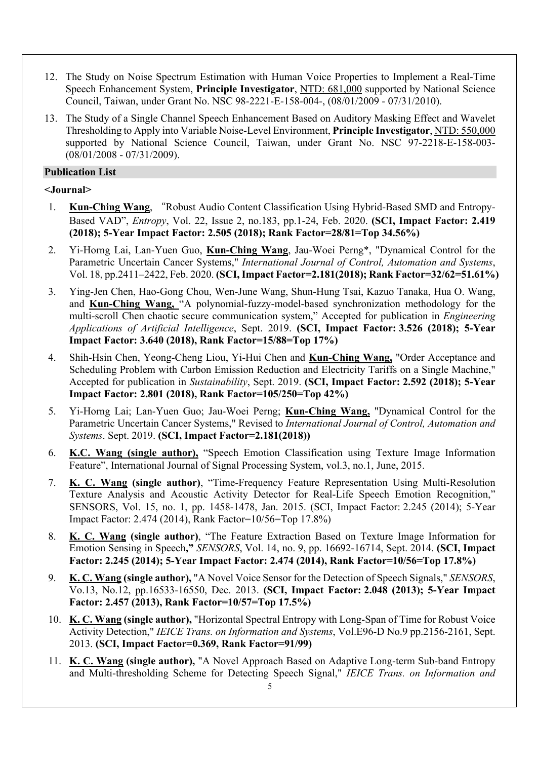- 12. The Study on Noise Spectrum Estimation with Human Voice Properties to Implement a Real-Time Speech Enhancement System, **Principle Investigator**, NTD: 681,000 supported by National Science Council, Taiwan, under Grant No. NSC 98-2221-E-158-004-, (08/01/2009 - 07/31/2010).
- 13. The Study of a Single Channel Speech Enhancement Based on Auditory Masking Effect and Wavelet Thresholding to Apply into Variable Noise-Level Environment, **Principle Investigator**, NTD: 550,000 supported by National Science Council, Taiwan, under Grant No. NSC 97-2218-E-158-003- (08/01/2008 - 07/31/2009).

# **Publication List**

# **<Journal>**

- 1. **Kun-Ching Wang**, "Robust Audio Content Classification Using Hybrid-Based SMD and Entropy-Based VAD", *Entropy*, Vol. 22, Issue 2, no.183, pp.1-24, Feb. 2020. **(SCI, Impact Factor: 2.419 (2018); 5-Year Impact Factor: 2.505 (2018); Rank Factor=28/81=Top 34.56%)**
- 2. Yi-Horng Lai, Lan-Yuen Guo, **Kun-Ching Wang**, Jau-Woei Perng\*, "Dynamical Control for the Parametric Uncertain Cancer Systems," *International Journal of Control, Automation and Systems*, Vol. 18, pp.2411–2422, Feb. 2020. **(SCI, Impact Factor=2.181(2018); Rank Factor=32/62=51.61%)**
- 3. Ying-Jen Chen, Hao-Gong Chou, Wen-June Wang, Shun-Hung Tsai, Kazuo Tanaka, Hua O. Wang, and **Kun-Ching Wang,** "A polynomial-fuzzy-model-based synchronization methodology for the multi-scroll Chen chaotic secure communication system," Accepted for publication in *Engineering Applications of Artificial Intelligence*, Sept. 2019. **(SCI, Impact Factor: 3.526 (2018); 5-Year Impact Factor: 3.640 (2018), Rank Factor=15/88=Top 17%)**
- 4. Shih-Hsin Chen, Yeong-Cheng Liou, Yi-Hui Chen and **Kun-Ching Wang,** "Order Acceptance and Scheduling Problem with Carbon Emission Reduction and Electricity Tariffs on a Single Machine," Accepted for publication in *Sustainability*, Sept. 2019. **(SCI, Impact Factor: 2.592 (2018); 5-Year Impact Factor: 2.801 (2018), Rank Factor=105/250=Top 42%)**
- 5. Yi-Horng Lai; Lan-Yuen Guo; Jau-Woei Perng; **Kun-Ching Wang,** "Dynamical Control for the Parametric Uncertain Cancer Systems," Revised to *International Journal of Control, Automation and Systems*. Sept. 2019. **(SCI, Impact Factor=2.181(2018))**
- 6. **K.C. Wang (single author),** "Speech Emotion Classification using Texture Image Information Feature", International Journal of Signal Processing System, vol.3, no.1, June, 2015.
- 7. **K. C. Wang (single author)**, "Time-Frequency Feature Representation Using Multi-Resolution Texture Analysis and Acoustic Activity Detector for Real-Life Speech Emotion Recognition," SENSORS, Vol. 15, no. 1, pp. 1458-1478, Jan. 2015. (SCI, Impact Factor: 2.245 (2014); 5-Year Impact Factor: 2.474 (2014), Rank Factor=10/56=Top 17.8%)
- 8. **K. C. Wang (single author)**, "The Feature Extraction Based on Texture Image Information for Emotion Sensing in Speech**,"** *SENSORS*, Vol. 14, no. 9, pp. 16692-16714, Sept. 2014. **(SCI, Impact Factor: 2.245 (2014); 5-Year Impact Factor: 2.474 (2014), Rank Factor=10/56=Top 17.8%)**
- 9. **K. C. Wang (single author),** "A Novel Voice Sensor for the Detection of Speech Signals," *SENSORS*, Vo.13, No.12, pp.16533-16550, Dec. 2013. **(SCI, Impact Factor: 2.048 (2013); 5-Year Impact Factor: 2.457 (2013), Rank Factor=10/57=Top 17.5%)**
- 10. **K. C. Wang (single author),** "Horizontal Spectral Entropy with Long-Span of Time for Robust Voice Activity Detection," *IEICE Trans. on Information and Systems*, Vol.E96-D No.9 pp.2156-2161, Sept. 2013. **(SCI, Impact Factor=0.369, Rank Factor=91/99)**
- 11. **K. C. Wang (single author),** "A Novel Approach Based on Adaptive Long-term Sub-band Entropy and Multi-thresholding Scheme for Detecting Speech Signal," *IEICE Trans. on Information and*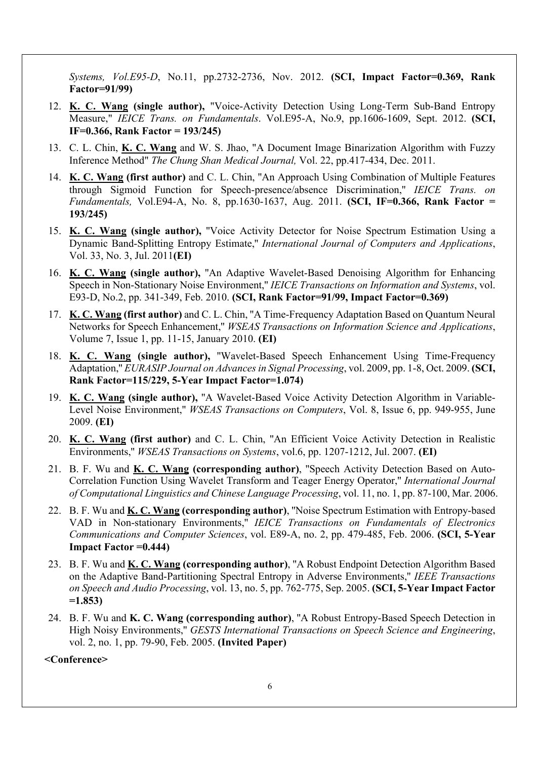*Systems, Vol.E95-D*, No.11, pp.2732-2736, Nov. 2012. **(SCI, Impact Factor=0.369, Rank Factor=91/99)**

- 12. **K. C. Wang (single author),** "Voice-Activity Detection Using Long-Term Sub-Band Entropy Measure," *IEICE Trans. on Fundamentals*. Vol.E95-A, No.9, pp.1606-1609, Sept. 2012. **(SCI, IF=0.366, Rank Factor = 193/245)**
- 13. C. L. Chin, **K. C. Wang** and W. S. Jhao, "A Document Image Binarization Algorithm with Fuzzy Inference Method" *The Chung Shan Medical Journal,* Vol. 22, pp.417-434, Dec. 2011.
- 14. **K. C. Wang (first author)** and C. L. Chin, ''An Approach Using Combination of Multiple Features through Sigmoid Function for Speech-presence/absence Discrimination,'' *IEICE Trans. on Fundamentals,* Vol.E94-A, No. 8, pp.1630-1637, Aug. 2011. **(SCI, IF=0.366, Rank Factor = 193/245)**
- 15. **K. C. Wang (single author),** ''Voice Activity Detector for Noise Spectrum Estimation Using a Dynamic Band-Splitting Entropy Estimate,'' *International Journal of Computers and Applications*, Vol. 33, No. 3, Jul. 2011**(EI)**
- 16. **K. C. Wang (single author),** ''An Adaptive Wavelet-Based Denoising Algorithm for Enhancing Speech in Non-Stationary Noise Environment,'' *IEICE Transactions on Information and Systems*, vol. E93-D, No.2, pp. 341-349, Feb. 2010. **(SCI, Rank Factor=91/99, Impact Factor=0.369)**
- 17. **K. C. Wang (first author)** and C. L. Chin, ''A Time-Frequency Adaptation Based on Quantum Neural Networks for Speech Enhancement,'' *WSEAS Transactions on Information Science and Applications*, Volume 7, Issue 1, pp. 11-15, January 2010. **(EI)**
- 18. **K. C. Wang (single author),** ''Wavelet-Based Speech Enhancement Using Time-Frequency Adaptation,'' *EURASIP Journal on Advances in Signal Processing*, vol. 2009, pp. 1-8, Oct. 2009. **(SCI, Rank Factor=115/229, 5-Year Impact Factor=1.074)**
- 19. **K. C. Wang (single author),** ''A Wavelet-Based Voice Activity Detection Algorithm in Variable-Level Noise Environment,'' *WSEAS Transactions on Computers*, Vol. 8, Issue 6, pp. 949-955, June 2009. **(EI)**
- 20. **K. C. Wang (first author)** and C. L. Chin, ''An Efficient Voice Activity Detection in Realistic Environments,'' *WSEAS Transactions on Systems*, vol.6, pp. 1207-1212, Jul. 2007. **(EI)**
- 21. B. F. Wu and **K. C. Wang (corresponding author)**, ''Speech Activity Detection Based on Auto-Correlation Function Using Wavelet Transform and Teager Energy Operator,'' *International Journal of Computational Linguistics and Chinese Language Processing*, vol. 11, no. 1, pp. 87-100, Mar. 2006.
- 22. B. F. Wu and **K. C. Wang (corresponding author)**, ''Noise Spectrum Estimation with Entropy-based VAD in Non-stationary Environments,'' *IEICE Transactions on Fundamentals of Electronics Communications and Computer Sciences*, vol. E89-A, no. 2, pp. 479-485, Feb. 2006. **(SCI, 5-Year Impact Factor =0.444)**
- 23. B. F. Wu and **K. C. Wang (corresponding author)**, ''A Robust Endpoint Detection Algorithm Based on the Adaptive Band-Partitioning Spectral Entropy in Adverse Environments,'' *IEEE Transactions on Speech and Audio Processing*, vol. 13, no. 5, pp. 762-775, Sep. 2005. **(SCI, 5-Year Impact Factor =1.853)**
- 24. B. F. Wu and **K. C. Wang (corresponding author)**, ''A Robust Entropy-Based Speech Detection in High Noisy Environments,'' *GESTS International Transactions on Speech Science and Engineering*, vol. 2, no. 1, pp. 79-90, Feb. 2005. **(Invited Paper)**

**<Conference>**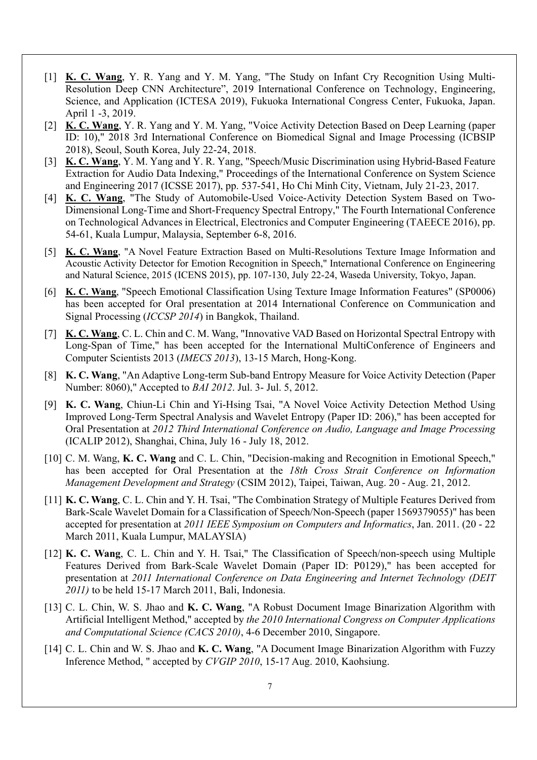- [1] **K. C. Wang**, Y. R. Yang and Y. M. Yang, "The Study on Infant Cry Recognition Using Multi-Resolution Deep CNN Architecture", 2019 International Conference on Technology, Engineering, Science, and Application (ICTESA 2019), Fukuoka International Congress Center, Fukuoka, Japan. April 1 -3, 2019.
- [2] **K. C. Wang**, Y. R. Yang and Y. M. Yang, "Voice Activity Detection Based on Deep Learning (paper ID: 10)," 2018 3rd International Conference on Biomedical Signal and Image Processing (ICBSIP 2018), Seoul, South Korea, July 22-24, 2018.
- [3] **K. C. Wang**, Y. M. Yang and Y. R. Yang, "Speech/Music Discrimination using Hybrid-Based Feature Extraction for Audio Data Indexing," Proceedings of the International Conference on System Science and Engineering 2017 (ICSSE 2017), pp. 537-541, Ho Chi Minh City, Vietnam, July 21-23, 2017.
- [4] **K. C. Wang**, "The Study of Automobile-Used Voice-Activity Detection System Based on Two-Dimensional Long-Time and Short-Frequency Spectral Entropy," The Fourth International Conference on Technological Advances in Electrical, Electronics and Computer Engineering (TAEECE 2016), pp. 54-61, Kuala Lumpur, Malaysia, September 6-8, 2016.
- [5] **K. C. Wang**, "A Novel Feature Extraction Based on Multi-Resolutions Texture Image Information and Acoustic Activity Detector for Emotion Recognition in Speech," International Conference on Engineering and Natural Science, 2015 (ICENS 2015), pp. 107-130, July 22-24, Waseda University, Tokyo, Japan.
- [6] **K. C. Wang**, "Speech Emotional Classification Using Texture Image Information Features" (SP0006) has been accepted for Oral presentation at 2014 International Conference on Communication and Signal Processing (*ICCSP 2014*) in Bangkok, Thailand.
- [7] **K. C. Wang**, C. L. Chin and C. M. Wang, "Innovative VAD Based on Horizontal Spectral Entropy with Long-Span of Time," has been accepted for the International MultiConference of Engineers and Computer Scientists 2013 (*IMECS 2013*), 13-15 March, Hong-Kong.
- [8] **K. C. Wang**, "An Adaptive Long-term Sub-band Entropy Measure for Voice Activity Detection (Paper Number: 8060)," Accepted to *BAI 2012*. Jul. 3- Jul. 5, 2012.
- [9] **K. C. Wang**, Chiun-Li Chin and Yi-Hsing Tsai, "A Novel Voice Activity Detection Method Using Improved Long-Term Spectral Analysis and Wavelet Entropy (Paper ID: 206)," has been accepted for Oral Presentation at *2012 Third International Conference on Audio, Language and Image Processing* (ICALIP 2012), Shanghai, China, July 16 - July 18, 2012.
- [10] C. M. Wang, K. C. Wang and C. L. Chin, "Decision-making and Recognition in Emotional Speech," has been accepted for Oral Presentation at the *18th Cross Strait Conference on Information Management Development and Strategy* (CSIM 2012), Taipei, Taiwan, Aug. 20 - Aug. 21, 2012.
- [11] **K. C. Wang**, C. L. Chin and Y. H. Tsai, "The Combination Strategy of Multiple Features Derived from Bark-Scale Wavelet Domain for a Classification of Speech/Non-Speech (paper 1569379055)" has been accepted for presentation at *2011 IEEE Symposium on Computers and Informatics*, Jan. 2011. (20 - 22 March 2011, Kuala Lumpur, MALAYSIA)
- [12] **K. C. Wang**, C. L. Chin and Y. H. Tsai," The Classification of Speech/non-speech using Multiple Features Derived from Bark-Scale Wavelet Domain (Paper ID: P0129)," has been accepted for presentation at *2011 International Conference on Data Engineering and Internet Technology (DEIT 2011)* to be held 15-17 March 2011, Bali, Indonesia.
- [13] C. L. Chin, W. S. Jhao and **K. C. Wang**, "A Robust Document Image Binarization Algorithm with Artificial Intelligent Method," accepted by *the 2010 International Congress on Computer Applications and Computational Science (CACS 2010)*, 4-6 December 2010, Singapore.
- [14] C. L. Chin and W. S. Jhao and **K. C. Wang**, "A Document Image Binarization Algorithm with Fuzzy Inference Method, " accepted by *CVGIP 2010*, 15-17 Aug. 2010, Kaohsiung.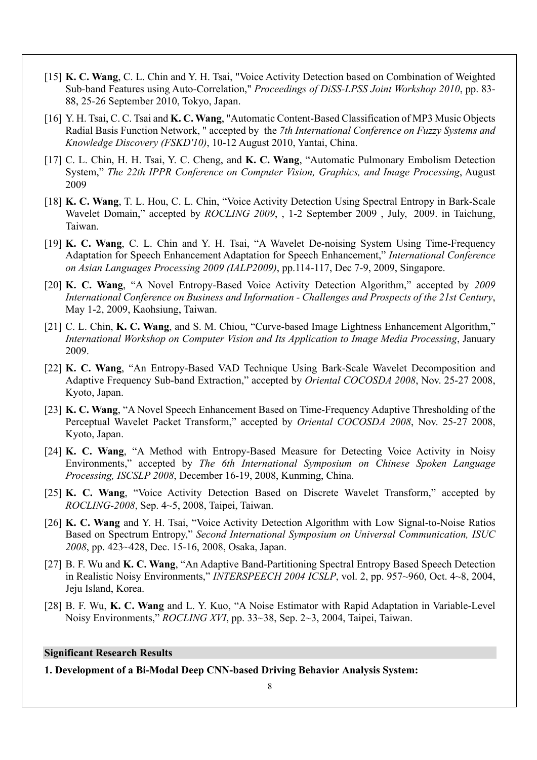- [15] **K. C. Wang**, C. L. Chin and Y. H. Tsai, "Voice Activity Detection based on Combination of Weighted Sub-band Features using Auto-Correlation," *Proceedings of DiSS-LPSS Joint Workshop 2010*, pp. 83- 88, 25-26 September 2010, Tokyo, Japan.
- [16] Y. H. Tsai, C. C. Tsai and **K. C. Wang**, "Automatic Content-Based Classification of MP3 Music Objects Radial Basis Function Network, " accepted by the *7th International Conference on Fuzzy Systems and Knowledge Discovery (FSKD'10)*, 10-12 August 2010, Yantai, China.
- [17] C. L. Chin, H. H. Tsai, Y. C. Cheng, and **K. C. Wang**, "Automatic Pulmonary Embolism Detection System," *The 22th IPPR Conference on Computer Vision, Graphics, and Image Processing*, August 2009
- [18] **K. C. Wang**, T. L. Hou, C. L. Chin, "Voice Activity Detection Using Spectral Entropy in Bark-Scale Wavelet Domain," accepted by *ROCLING 2009*, , 1-2 September 2009 , July, 2009. in Taichung, Taiwan.
- [19] **K. C. Wang**, C. L. Chin and Y. H. Tsai, "A Wavelet De-noising System Using Time-Frequency Adaptation for Speech Enhancement Adaptation for Speech Enhancement," *International Conference on Asian Languages Processing 2009 (IALP2009)*, pp.114-117, Dec 7-9, 2009, Singapore.
- [20] **K. C. Wang**, "A Novel Entropy-Based Voice Activity Detection Algorithm," accepted by *2009 International Conference on Business and Information - Challenges and Prospects of the 21st Century*, May 1-2, 2009, Kaohsiung, Taiwan.
- [21] C. L. Chin, **K. C. Wang**, and S. M. Chiou, "Curve-based Image Lightness Enhancement Algorithm," *International Workshop on Computer Vision and Its Application to Image Media Processing*, January 2009.
- [22] **K. C. Wang**, "An Entropy-Based VAD Technique Using Bark-Scale Wavelet Decomposition and Adaptive Frequency Sub-band Extraction," accepted by *Oriental COCOSDA 2008*, Nov. 25-27 2008, Kyoto, Japan.
- [23] **K. C. Wang**, "A Novel Speech Enhancement Based on Time-Frequency Adaptive Thresholding of the Perceptual Wavelet Packet Transform," accepted by *Oriental COCOSDA 2008*, Nov. 25-27 2008, Kyoto, Japan.
- [24] **K. C. Wang**, "A Method with Entropy-Based Measure for Detecting Voice Activity in Noisy Environments," accepted by *The 6th International Symposium on Chinese Spoken Language Processing, ISCSLP 2008*, December 16-19, 2008, Kunming, China.
- [25] **K. C. Wang**, "Voice Activity Detection Based on Discrete Wavelet Transform," accepted by *ROCLING-2008*, Sep. 4~5, 2008, Taipei, Taiwan.
- [26] **K. C. Wang** and Y. H. Tsai, "Voice Activity Detection Algorithm with Low Signal-to-Noise Ratios Based on Spectrum Entropy," *Second International Symposium on Universal Communication, ISUC 2008*, pp. 423~428, Dec. 15-16, 2008, Osaka, Japan.
- [27] B. F. Wu and **K. C. Wang**, "An Adaptive Band-Partitioning Spectral Entropy Based Speech Detection in Realistic Noisy Environments," *INTERSPEECH 2004 ICSLP*, vol. 2, pp. 957~960, Oct. 4~8, 2004, Jeju Island, Korea.
- [28] B. F. Wu, **K. C. Wang** and L. Y. Kuo, "A Noise Estimator with Rapid Adaptation in Variable-Level Noisy Environments," *ROCLING XVI*, pp. 33~38, Sep. 2~3, 2004, Taipei, Taiwan.

#### **Significant Research Results**

**1. Development of a Bi-Modal Deep CNN-based Driving Behavior Analysis System:**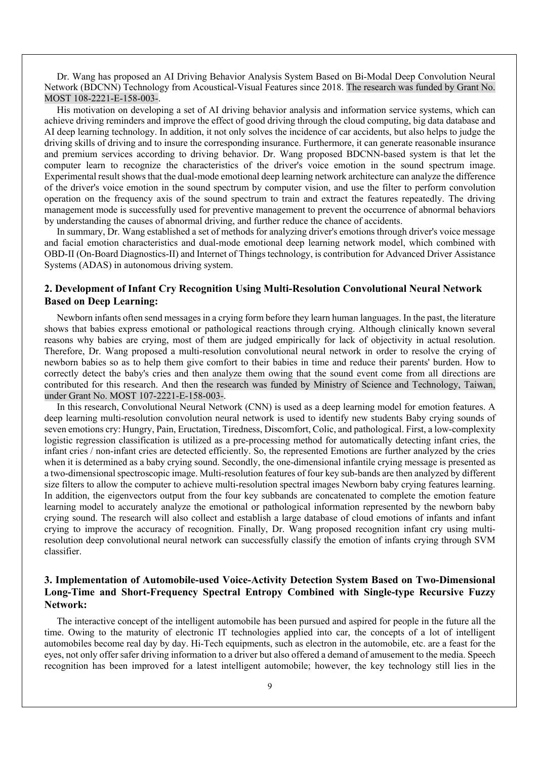Dr. Wang has proposed an AI Driving Behavior Analysis System Based on Bi-Modal Deep Convolution Neural Network (BDCNN) Technology from Acoustical-Visual Features since 2018. The research was funded by Grant No. MOST 108-2221-E-158-003-.

His motivation on developing a set of AI driving behavior analysis and information service systems, which can achieve driving reminders and improve the effect of good driving through the cloud computing, big data database and AI deep learning technology. In addition, it not only solves the incidence of car accidents, but also helps to judge the driving skills of driving and to insure the corresponding insurance. Furthermore, it can generate reasonable insurance and premium services according to driving behavior. Dr. Wang proposed BDCNN-based system is that let the computer learn to recognize the characteristics of the driver's voice emotion in the sound spectrum image. Experimental result shows that the dual-mode emotional deep learning network architecture can analyze the difference of the driver's voice emotion in the sound spectrum by computer vision, and use the filter to perform convolution operation on the frequency axis of the sound spectrum to train and extract the features repeatedly. The driving management mode is successfully used for preventive management to prevent the occurrence of abnormal behaviors by understanding the causes of abnormal driving, and further reduce the chance of accidents.

In summary, Dr. Wang established a set of methods for analyzing driver's emotions through driver's voice message and facial emotion characteristics and dual-mode emotional deep learning network model, which combined with OBD-II (On-Board Diagnostics-II) and Internet of Things technology, is contribution for Advanced Driver Assistance Systems (ADAS) in autonomous driving system.

#### **2. Development of Infant Cry Recognition Using Multi-Resolution Convolutional Neural Network Based on Deep Learning:**

Newborn infants often send messages in a crying form before they learn human languages. In the past, the literature shows that babies express emotional or pathological reactions through crying. Although clinically known several reasons why babies are crying, most of them are judged empirically for lack of objectivity in actual resolution. Therefore, Dr. Wang proposed a multi-resolution convolutional neural network in order to resolve the crying of newborn babies so as to help them give comfort to their babies in time and reduce their parents' burden. How to correctly detect the baby's cries and then analyze them owing that the sound event come from all directions are contributed for this research. And then the research was funded by Ministry of Science and Technology, Taiwan, under Grant No. MOST 107-2221-E-158-003-.

In this research, Convolutional Neural Network (CNN) is used as a deep learning model for emotion features. A deep learning multi-resolution convolution neural network is used to identify new students Baby crying sounds of seven emotions cry: Hungry, Pain, Eructation, Tiredness, Discomfort, Colic, and pathological. First, a low-complexity logistic regression classification is utilized as a pre-processing method for automatically detecting infant cries, the infant cries / non-infant cries are detected efficiently. So, the represented Emotions are further analyzed by the cries when it is determined as a baby crying sound. Secondly, the one-dimensional infantile crying message is presented as a two-dimensional spectroscopic image. Multi-resolution features of four key sub-bands are then analyzed by different size filters to allow the computer to achieve multi-resolution spectral images Newborn baby crying features learning. In addition, the eigenvectors output from the four key subbands are concatenated to complete the emotion feature learning model to accurately analyze the emotional or pathological information represented by the newborn baby crying sound. The research will also collect and establish a large database of cloud emotions of infants and infant crying to improve the accuracy of recognition. Finally, Dr. Wang proposed recognition infant cry using multiresolution deep convolutional neural network can successfully classify the emotion of infants crying through SVM classifier.

### **3. Implementation of Automobile-used Voice-Activity Detection System Based on Two-Dimensional Long-Time and Short-Frequency Spectral Entropy Combined with Single-type Recursive Fuzzy Network:**

The interactive concept of the intelligent automobile has been pursued and aspired for people in the future all the time. Owing to the maturity of electronic IT technologies applied into car, the concepts of a lot of intelligent automobiles become real day by day. Hi-Tech equipments, such as electron in the automobile, etc. are a feast for the eyes, not only offer safer driving information to a driver but also offered a demand of amusement to the media. Speech recognition has been improved for a latest intelligent automobile; however, the key technology still lies in the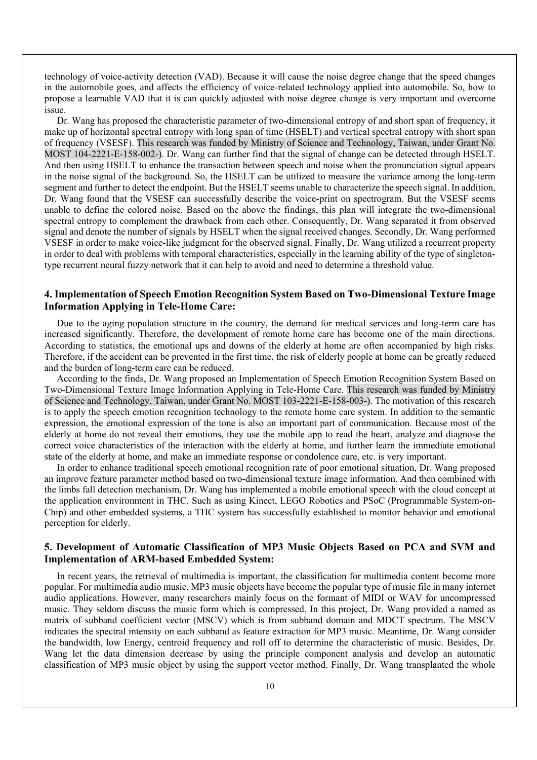technology of voice-activity detection (VAD). Because it will cause the noise degree change that the speed changes in the automobile goes, and affects the efficiency of voice-related technology applied into automobile. So, how to propose a learnable VAD that it is can quickly adjusted with noise degree change is very important and overcome issue.

Dr. Wang has proposed the characteristic parameter of two-dimensional entropy of and short span of frequency, it make up of horizontal spectral entropy with long span of time (HSELT) and vertical spectral entropy with short span of frequency (VSESF). This research was funded by Ministry of Science and Technology, Taiwan, under Grant No. MOST 104-2221-E-158-002-). Dr. Wang can further find that the signal of change can be detected through HSELT. And then using HSELT to enhance the transaction between speech and noise when the pronunciation signal appears in the noise signal of the background. So, the HSELT can be utilized to measure the variance among the long-term segment and further to detect the endpoint. But the HSELT seems unable to characterize the speech signal. In addition, Dr. Wang found that the VSESF can successfully describe the voice-print on spectrogram. But the VSESF seems unable to define the colored noise. Based on the above the findings, this plan will integrate the two-dimensional spectral entropy to complement the drawback from each other. Consequently, Dr. Wang separated it from observed signal and denote the number of signals by HSELT when the signal received changes. Secondly, Dr. Wang performed VSESF in order to make voice-like judgment for the observed signal. Finally, Dr. Wang utilized a recurrent property in order to deal with problems with temporal characteristics, especially in the learning ability of the type of singletontype recurrent neural fuzzy network that it can help to avoid and need to determine a threshold value.

#### **4. Implementation of Speech Emotion Recognition System Based on Two-Dimensional Texture Image Information Applying in Tele-Home Care:**

Due to the aging population structure in the country, the demand for medical services and long-term care has increased significantly. Therefore, the development of remote home care has become one of the main directions. According to statistics, the emotional ups and downs of the elderly at home are often accompanied by high risks. Therefore, if the accident can be prevented in the first time, the risk of elderly people at home can be greatly reduced and the burden of long-term care can be reduced.

According to the finds, Dr. Wang proposed an Implementation of Speech Emotion Recognition System Based on Two-Dimensional Texture Image Information Applying in Tele-Home Care. This research was funded by Ministry of Science and Technology, Taiwan, under Grant No. MOST 103-2221-E-158-003-). The motivation of this research is to apply the speech emotion recognition technology to the remote home care system. In addition to the semantic expression, the emotional expression of the tone is also an important part of communication. Because most of the elderly at home do not reveal their emotions, they use the mobile app to read the heart, analyze and diagnose the correct voice characteristics of the interaction with the elderly at home, and further learn the immediate emotional state of the elderly at home, and make an immediate response or condolence care, etc. is very important.

In order to enhance traditional speech emotional recognition rate of poor emotional situation, Dr. Wang proposed an improve feature parameter method based on two-dimensional texture image information. And then combined with the limbs fall detection mechanism, Dr. Wang has implemented a mobile emotional speech with the cloud concept at the application environment in THC. Such as using Kinect, LEGO Robotics and PSoC (Programmable System-on-Chip) and other embedded systems, a THC system has successfully established to monitor behavior and emotional perception for elderly.

#### **5. Development of Automatic Classification of MP3 Music Objects Based on PCA and SVM and Implementation of ARM-based Embedded System:**

In recent years, the retrieval of multimedia is important, the classification for multimedia content become more popular. For multimedia audio music, MP3 music objects have become the popular type of music file in many internet audio applications. However, many researchers mainly focus on the formant of MIDI or WAV for uncompressed music. They seldom discuss the music form which is compressed. In this project, Dr. Wang provided a named as matrix of subband coefficient vector (MSCV) which is from subband domain and MDCT spectrum. The MSCV indicates the spectral intensity on each subband as feature extraction for MP3 music. Meantime, Dr. Wang consider the bandwidth, low Energy, centroid frequency and roll off to determine the characteristic of music. Besides, Dr. Wang let the data dimension decrease by using the principle component analysis and develop an automatic classification of MP3 music object by using the support vector method. Finally, Dr. Wang transplanted the whole